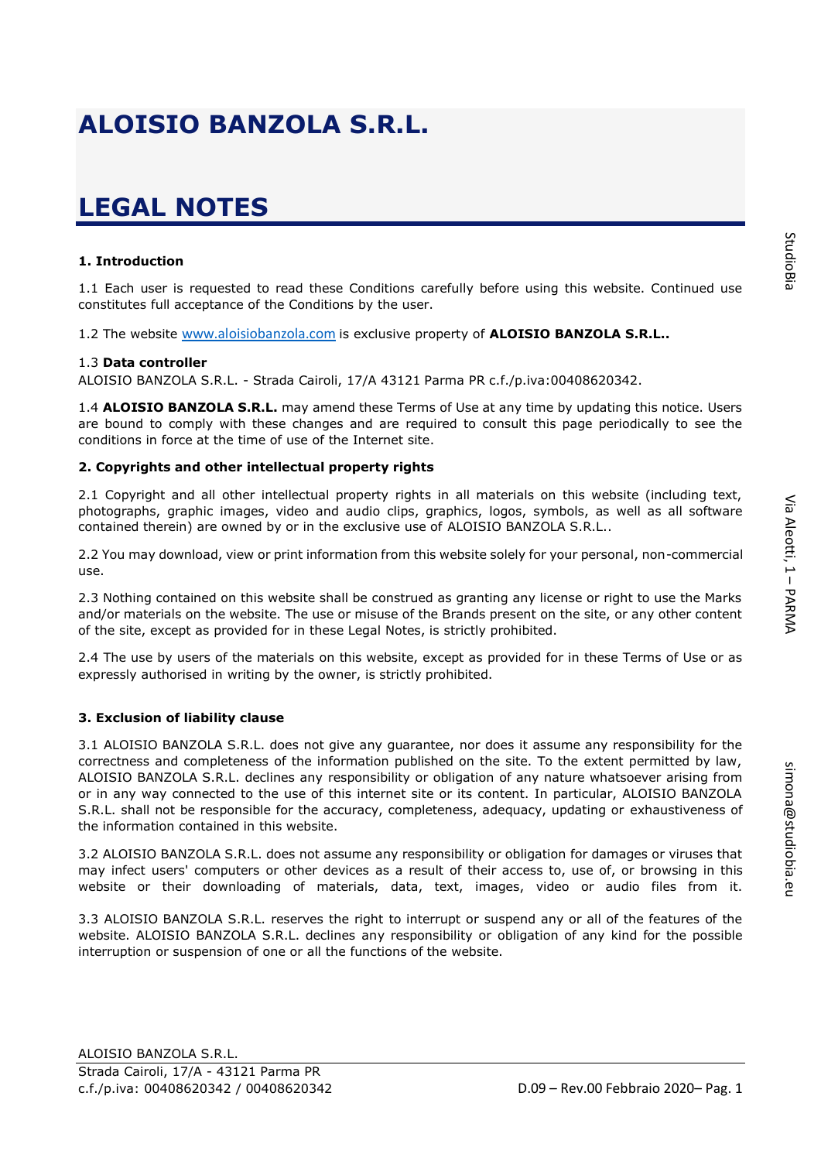simona@studiobia.eu

simona@studiobia.eu

# **LEGAL NOTES**

### **1. Introduction**

1.1 Each user is requested to read these Conditions carefully before using this website. Continued use constitutes full acceptance of the Conditions by the user.

1.2 The website [www.aloisiobanzola.](http://www.__________________________.it/)com is exclusive property of **ALOISIO BANZOLA S.R.L..** 

### 1.3 **Data controller**

ALOISIO BANZOLA S.R.L. - Strada Cairoli, 17/A 43121 Parma PR c.f./p.iva:00408620342.

1.4 **ALOISIO BANZOLA S.R.L.** may amend these Terms of Use at any time by updating this notice. Users are bound to comply with these changes and are required to consult this page periodically to see the conditions in force at the time of use of the Internet site.

### **2. Copyrights and other intellectual property rights**

2.1 Copyright and all other intellectual property rights in all materials on this website (including text, photographs, graphic images, video and audio clips, graphics, logos, symbols, as well as all software contained therein) are owned by or in the exclusive use of ALOISIO BANZOLA S.R.L..

2.2 You may download, view or print information from this website solely for your personal, non-commercial use.

2.3 Nothing contained on this website shall be construed as granting any license or right to use the Marks and/or materials on the website. The use or misuse of the Brands present on the site, or any other content of the site, except as provided for in these Legal Notes, is strictly prohibited.

2.4 The use by users of the materials on this website, except as provided for in these Terms of Use or as expressly authorised in writing by the owner, is strictly prohibited.

## **3. Exclusion of liability clause**

3.1 ALOISIO BANZOLA S.R.L. does not give any guarantee, nor does it assume any responsibility for the correctness and completeness of the information published on the site. To the extent permitted by law, ALOISIO BANZOLA S.R.L. declines any responsibility or obligation of any nature whatsoever arising from or in any way connected to the use of this internet site or its content. In particular, ALOISIO BANZOLA S.R.L. shall not be responsible for the accuracy, completeness, adequacy, updating or exhaustiveness of the information contained in this website.

3.2 ALOISIO BANZOLA S.R.L. does not assume any responsibility or obligation for damages or viruses that may infect users' computers or other devices as a result of their access to, use of, or browsing in this website or their downloading of materials, data, text, images, video or audio files from it.

3.3 ALOISIO BANZOLA S.R.L. reserves the right to interrupt or suspend any or all of the features of the website. ALOISIO BANZOLA S.R.L. declines any responsibility or obligation of any kind for the possible interruption or suspension of one or all the functions of the website.